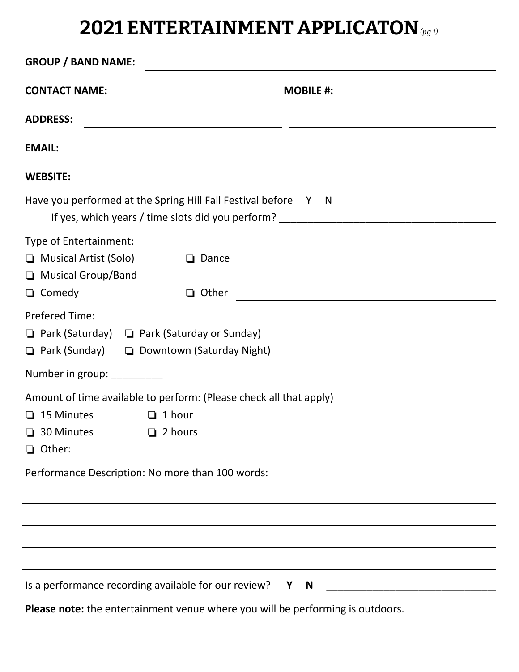## **2021 ENTERTAINMENT APPLICATON** *(pg 1)*

| <b>GROUP / BAND NAME:</b><br><u> 1989 - Johann Stoff, amerikansk politiker (d. 1989)</u>                                                                 |                                                                                                                       |  |  |
|----------------------------------------------------------------------------------------------------------------------------------------------------------|-----------------------------------------------------------------------------------------------------------------------|--|--|
| <b>CONTACT NAME:</b>                                                                                                                                     | <b>MOBILE #:</b>                                                                                                      |  |  |
| <b>ADDRESS:</b>                                                                                                                                          | <u> 2000 - Andrea San Andrea Andrea Andrea Andrea Andrea Andrea Andrea Andrea Andrea Andrea Andrea Andrea Andrea</u>  |  |  |
| <b>EMAIL:</b>                                                                                                                                            | <u> 1989 - Johann Stoff, deutscher Stoffen und der Stoffen und der Stoffen und der Stoffen und der Stoffen und de</u> |  |  |
| <b>WEBSITE:</b>                                                                                                                                          | <u> 1989 - Andrea San Andrea San Andrea San Andrea San Andrea San Andrea San Andrea San Andrea San Andrea San A</u>   |  |  |
| Have you performed at the Spring Hill Fall Festival before Y N                                                                                           |                                                                                                                       |  |  |
| Type of Entertainment:<br>$\Box$ Musical Artist (Solo)<br>$\Box$ Dance<br>Musical Group/Band<br>$\Box$ Comedy<br>$\Box$ Other                            | <u> 1989 - Johann Barn, mars eta bainar eta industrial eta industrial eta industrial eta industrial eta industria</u> |  |  |
| <b>Prefered Time:</b><br>$\Box$ Park (Saturday) $\Box$ Park (Saturday or Sunday)<br>□ Park (Sunday) □ Downtown (Saturday Night)                          |                                                                                                                       |  |  |
| Number in group: _________                                                                                                                               |                                                                                                                       |  |  |
| Amount of time available to perform: (Please check all that apply)<br>$\Box$ 15 Minutes<br>$\Box$ 1 hour<br>$\Box$ 30 Minutes $\Box$ 2 hours<br>□ Other: |                                                                                                                       |  |  |
| Performance Description: No more than 100 words:                                                                                                         |                                                                                                                       |  |  |
|                                                                                                                                                          | ,我们也不会有什么。""我们的人,我们也不会有什么?""我们的人,我们也不会有什么?""我们的人,我们也不会有什么?""我们的人,我们也不会有什么?""我们的人                                      |  |  |
|                                                                                                                                                          |                                                                                                                       |  |  |
|                                                                                                                                                          |                                                                                                                       |  |  |
|                                                                                                                                                          | Is a performance recording available for our review? Y N _______________________                                      |  |  |
|                                                                                                                                                          | Please note: the entertainment venue where you will be performing is outdoors.                                        |  |  |